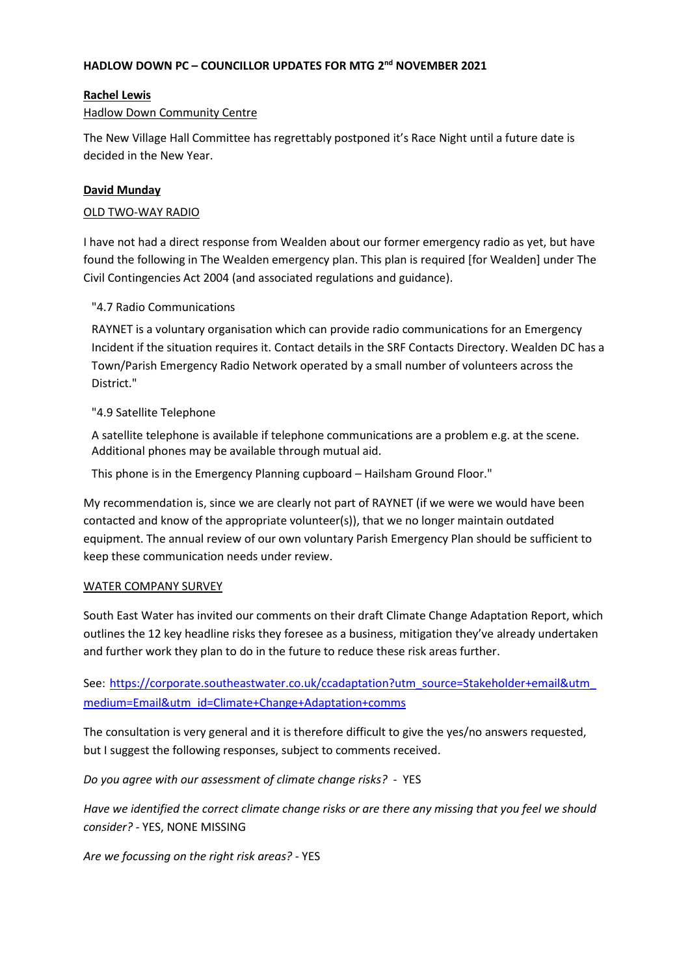# **HADLOW DOWN PC – COUNCILLOR UPDATES FOR MTG 2 nd NOVEMBER 2021**

## **Rachel Lewis**

### Hadlow Down Community Centre

The New Village Hall Committee has regrettably postponed it's Race Night until a future date is decided in the New Year.

# **David Munday**

### OLD TWO-WAY RADIO

I have not had a direct response from Wealden about our former emergency radio as yet, but have found the following in The Wealden emergency plan. This plan is required [for Wealden] under The Civil Contingencies Act 2004 (and associated regulations and guidance).

## "4.7 Radio Communications

RAYNET is a voluntary organisation which can provide radio communications for an Emergency Incident if the situation requires it. Contact details in the SRF Contacts Directory. Wealden DC has a Town/Parish Emergency Radio Network operated by a small number of volunteers across the District."

## "4.9 Satellite Telephone

A satellite telephone is available if telephone communications are a problem e.g. at the scene. Additional phones may be available through mutual aid.

This phone is in the Emergency Planning cupboard – Hailsham Ground Floor."

My recommendation is, since we are clearly not part of RAYNET (if we were we would have been contacted and know of the appropriate volunteer(s)), that we no longer maintain outdated equipment. The annual review of our own voluntary Parish Emergency Plan should be sufficient to keep these communication needs under review.

#### WATER COMPANY SURVEY

South East Water has invited our comments on their draft Climate Change Adaptation Report, which outlines the 12 key headline risks they foresee as a business, mitigation they've already undertaken and further work they plan to do in the future to reduce these risk areas further.

See: [https://corporate.southeastwater.co.uk/ccadaptation?utm\\_source=Stakeholder+email&utm\\_](https://corporate.southeastwater.co.uk/ccadaptation?utm_source=Stakeholder+email&utm_medium=Email&utm_id=Climate+Change+Adaptation+comms) [medium=Email&utm\\_id=Climate+Change+Adaptation+comms](https://corporate.southeastwater.co.uk/ccadaptation?utm_source=Stakeholder+email&utm_medium=Email&utm_id=Climate+Change+Adaptation+comms)

The consultation is very general and it is therefore difficult to give the yes/no answers requested, but I suggest the following responses, subject to comments received.

*Do you agree with our assessment of climate change risks?* - YES

*Have we identified the correct climate change risks or are there any missing that you feel we should consider?* - YES, NONE MISSING

*Are we focussing on the right risk areas?* - YES